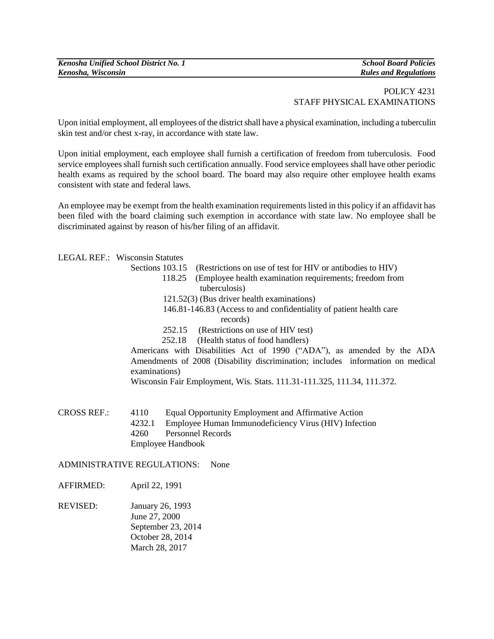*Kenosha Unified School District No. 1 School Board Policies Kenosha, Wisconsin Rules and Regulations*

## POLICY 4231 STAFF PHYSICAL EXAMINATIONS

Upon initial employment, all employees of the district shall have a physical examination, including a tuberculin skin test and/or chest x-ray, in accordance with state law.

Upon initial employment, each employee shall furnish a certification of freedom from tuberculosis. Food service employees shall furnish such certification annually. Food service employees shall have other periodic health exams as required by the school board. The board may also require other employee health exams consistent with state and federal laws.

An employee may be exempt from the health examination requirements listed in this policy if an affidavit has been filed with the board claiming such exemption in accordance with state law. No employee shall be discriminated against by reason of his/her filing of an affidavit.

LEGAL REF.: Wisconsin Statutes

| Sections 103.15 (Restrictions on use of test for HIV or antibodies to HIV) |  |  |
|----------------------------------------------------------------------------|--|--|
|----------------------------------------------------------------------------|--|--|

- 118.25 (Employee health examination requirements; freedom from tuberculosis)
- 121.52(3) (Bus driver health examinations)
- 146.81-146.83 (Access to and confidentiality of patient health care records)
- 252.15 (Restrictions on use of HIV test)
- 252.18 (Health status of food handlers)

Americans with Disabilities Act of 1990 ("ADA"), as amended by the ADA Amendments of 2008 (Disability discrimination; includes information on medical examinations)

Wisconsin Fair Employment, Wis. Stats. 111.31-111.325, 111.34, 111.372.

CROSS REF.: 4110 Equal Opportunity Employment and Affirmative Action 4232.1 Employee Human Immunodeficiency Virus (HIV) Infection 4260 Personnel Records Employee Handbook

ADMINISTRATIVE REGULATIONS: None

AFFIRMED: April 22, 1991

REVISED: January 26, 1993 June 27, 2000 September 23, 2014 October 28, 2014 March 28, 2017